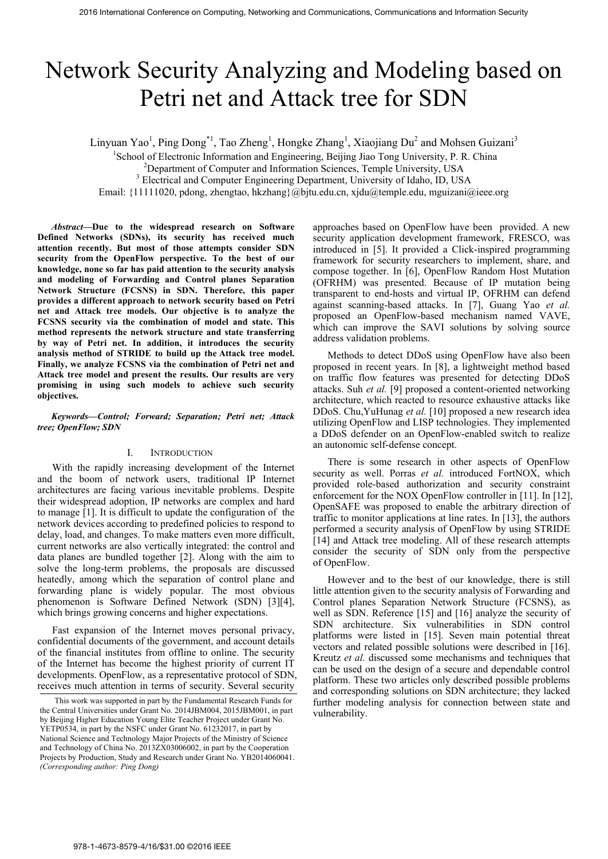# Network Security Analyzing and Modeling based on Petri net and Attack tree for SDN

Linyuan Yao<sup>1</sup>, Ping Dong<sup>\*1</sup>, Tao Zheng<sup>1</sup>, Hongke Zhang<sup>1</sup>, Xiaojiang Du<sup>2</sup> and Mohsen Guizani<sup>3</sup>

<sup>1</sup>School of Electronic Information and Engineering, Beijing Jiao Tong University, P. R. China

<sup>2</sup>Department of Computer and Information Sciences, Temple University, USA

<sup>3</sup> Electrical and Computer Engineering Department, University of Idaho, ID, USA

Email: {11111020, pdong, zhengtao, hkzhang}@bjtu.edu.cn, xjdu@temple.edu, mguizani@ieee.org

*Abstract***—Due to the widespread research on Software Defined Networks (SDNs), its security has received much attention recently. But most of those attempts consider SDN security from the OpenFlow perspective. To the best of our knowledge, none so far has paid attention to the security analysis and modeling of Forwarding and Control planes Separation Network Structure (FCSNS) in SDN. Therefore, this paper provides a different approach to network security based on Petri net and Attack tree models. Our objective is to analyze the FCSNS security via the combination of model and state. This method represents the network structure and state transferring by way of Petri net. In addition, it introduces the security analysis method of STRIDE to build up the Attack tree model. Finally, we analyze FCSNS via the combination of Petri net and Attack tree model and present the results. Our results are very promising in using such models to achieve such security objectives.** 

*Keywords—Control; Forward; Separation; Petri net; Attack tree; OpenFlow; SDN*

# I. INTRODUCTION

With the rapidly increasing development of the Internet and the boom of network users, traditional IP Internet architectures are facing various inevitable problems. Despite their widespread adoption, IP networks are complex and hard to manage [1]. It is difficult to update the configuration of the network devices according to predefined policies to respond to delay, load, and changes. To make matters even more difficult, current networks are also vertically integrated: the control and data planes are bundled together [2]. Along with the aim to solve the long-term problems, the proposals are discussed heatedly, among which the separation of control plane and forwarding plane is widely popular. The most obvious phenomenon is Software Defined Network (SDN) [3][4], which brings growing concerns and higher expectations.

Fast expansion of the Internet moves personal privacy, confidential documents of the government, and account details of the financial institutes from offline to online. The security of the Internet has become the highest priority of current IT developments. OpenFlow, as a representative protocol of SDN, receives much attention in terms of security. Several security

approaches based on OpenFlow have been provided. A new security application development framework, FRESCO, was introduced in [5]. It provided a Click-inspired programming framework for security researchers to implement, share, and compose together. In [6], OpenFlow Random Host Mutation (OFRHM) was presented. Because of IP mutation being transparent to end-hosts and virtual IP, OFRHM can defend against scanning-based attacks. In [7], Guang Yao *et al.* proposed an OpenFlow-based mechanism named VAVE, which can improve the SAVI solutions by solving source address validation problems.

Methods to detect DDoS using OpenFlow have also been proposed in recent years. In [8], a lightweight method based on traffic flow features was presented for detecting DDoS attacks. Suh *et al.* [9] proposed a content-oriented networking architecture, which reacted to resource exhaustive attacks like DDoS. Chu,YuHunag *et al.* [10] proposed a new research idea utilizing OpenFlow and LISP technologies. They implemented a DDoS defender on an OpenFlow-enabled switch to realize an autonomic self-defense concept.

There is some research in other aspects of OpenFlow security as well. Porras *et al.* introduced FortNOX, which provided role-based authorization and security constraint enforcement for the NOX OpenFlow controller in [11]. In [12], OpenSAFE was proposed to enable the arbitrary direction of traffic to monitor applications at line rates. In [13], the authors performed a security analysis of OpenFlow by using STRIDE [14] and Attack tree modeling. All of these research attempts consider the security of SDN only from the perspective of OpenFlow.

However and to the best of our knowledge, there is still little attention given to the security analysis of Forwarding and Control planes Separation Network Structure (FCSNS), as well as SDN. Reference [15] and [16] analyze the security of SDN architecture. Six vulnerabilities in SDN control platforms were listed in [15]. Seven main potential threat vectors and related possible solutions were described in [16]. Kreutz *et al.* discussed some mechanisms and techniques that can be used on the design of a secure and dependable control platform. These two articles only described possible problems and corresponding solutions on SDN architecture; they lacked further modeling analysis for connection between state and vulnerability.

This work was supported in part by the Fundamental Research Funds for the Central Universities under Grant No. 2014JBM004, 2015JBM001, in part by Beijing Higher Education Young Elite Teacher Project under Grant No. YETP0534, in part by the NSFC under Grant No. 61232017, in part by National Science and Technology Major Projects of the Ministry of Science and Technology of China No. 2013ZX03006002, in part by the Cooperation Projects by Production, Study and Research under Grant No. YB2014060041. *(Corresponding author: Ping Dong)*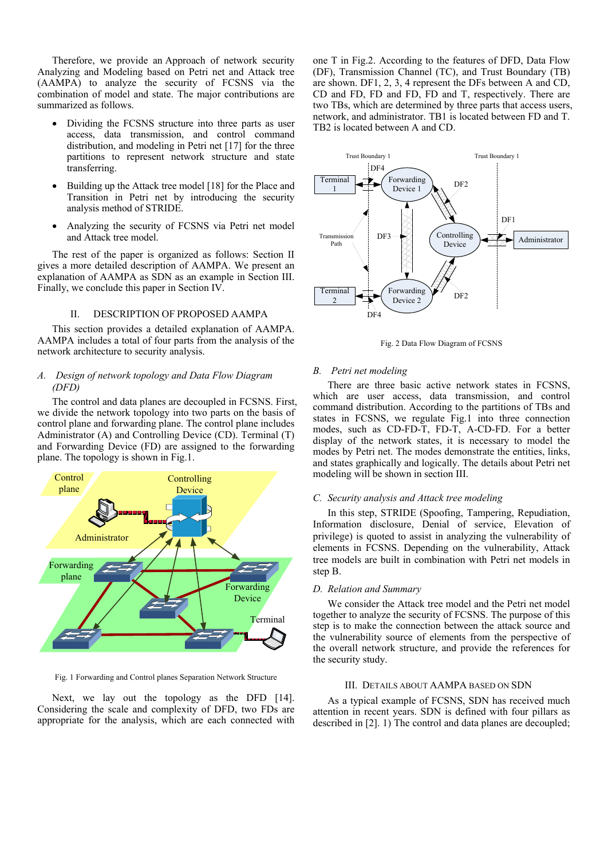Therefore, we provide an Approach of network security Analyzing and Modeling based on Petri net and Attack tree (AAMPA) to analyze the security of FCSNS via the combination of model and state. The major contributions are summarized as follows.

- Dividing the FCSNS structure into three parts as user access, data transmission, and control command distribution, and modeling in Petri net [17] for the three partitions to represent network structure and state transferring.
- Building up the Attack tree model [18] for the Place and Transition in Petri net by introducing the security analysis method of STRIDE.
- Analyzing the security of FCSNS via Petri net model and Attack tree model.

The rest of the paper is organized as follows: Section II gives a more detailed description of AAMPA. We present an explanation of AAMPA as SDN as an example in Section III. Finally, we conclude this paper in Section IV.

# II. DESCRIPTION OF PROPOSED AAMPA

This section provides a detailed explanation of AAMPA. AAMPA includes a total of four parts from the analysis of the network architecture to security analysis.

# *A. Design of network topology and Data Flow Diagram (DFD)*

The control and data planes are decoupled in FCSNS. First, we divide the network topology into two parts on the basis of control plane and forwarding plane. The control plane includes Administrator (A) and Controlling Device (CD). Terminal (T) and Forwarding Device (FD) are assigned to the forwarding plane. The topology is shown in Fig.1.



Fig. 1 Forwarding and Control planes Separation Network Structure

Next, we lay out the topology as the DFD [14]. Considering the scale and complexity of DFD, two FDs are appropriate for the analysis, which are each connected with one T in Fig.2. According to the features of DFD, Data Flow (DF), Transmission Channel (TC), and Trust Boundary (TB) are shown. DF1, 2, 3, 4 represent the DFs between A and CD, CD and FD, FD and FD, FD and T, respectively. There are two TBs, which are determined by three parts that access users, network, and administrator. TB1 is located between FD and T. TB2 is located between A and CD.



Fig. 2 Data Flow Diagram of FCSNS

# *B. Petri net modeling*

There are three basic active network states in FCSNS, which are user access, data transmission, and control command distribution. According to the partitions of TBs and states in FCSNS, we regulate Fig.1 into three connection modes, such as CD-FD-T, FD-T, A-CD-FD. For a better display of the network states, it is necessary to model the modes by Petri net. The modes demonstrate the entities, links, and states graphically and logically. The details about Petri net modeling will be shown in section III.

# *C. Security analysis and Attack tree modeling*

In this step, STRIDE (Spoofing, Tampering, Repudiation, Information disclosure, Denial of service, Elevation of privilege) is quoted to assist in analyzing the vulnerability of elements in FCSNS. Depending on the vulnerability, Attack tree models are built in combination with Petri net models in step B.

# *D. Relation and Summary*

We consider the Attack tree model and the Petri net model together to analyze the security of FCSNS. The purpose of this step is to make the connection between the attack source and the vulnerability source of elements from the perspective of the overall network structure, and provide the references for the security study.

# III. DETAILS ABOUT AAMPA BASED ON SDN

As a typical example of FCSNS, SDN has received much attention in recent years. SDN is defined with four pillars as described in [2]. 1) The control and data planes are decoupled;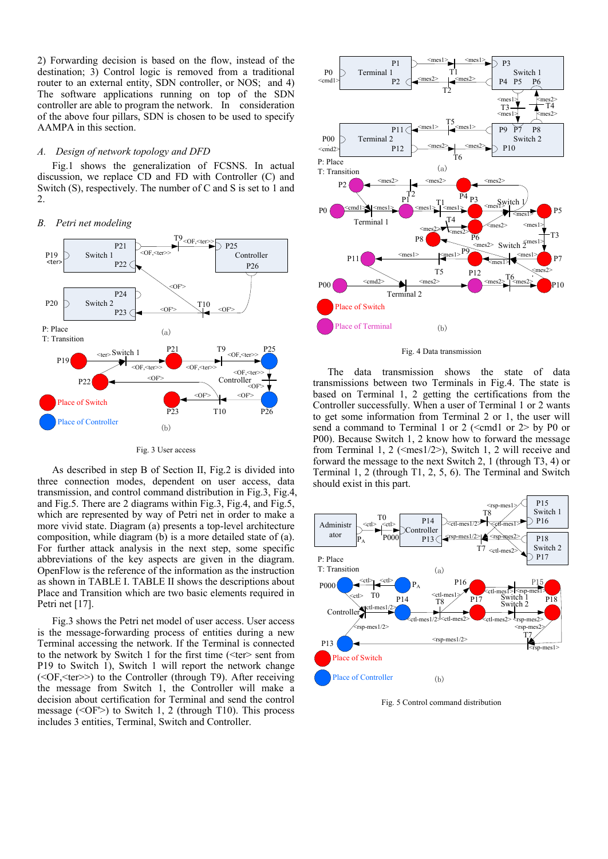2) Forwarding decision is based on the flow, instead of the destination; 3) Control logic is removed from a traditional router to an external entity, SDN controller, or NOS; and 4) The software applications running on top of the SDN controller are able to program the network. In consideration of the above four pillars, SDN is chosen to be used to specify AAMPA in this section.

### *A. Design of network topology and DFD*

Fig.1 shows the generalization of FCSNS. In actual discussion, we replace CD and FD with Controller (C) and Switch (S), respectively. The number of C and S is set to 1 and 2.

### *B. Petri net modeling*



Fig. 3 User access

As described in step B of Section II, Fig.2 is divided into three connection modes, dependent on user access, data transmission, and control command distribution in Fig.3, Fig.4, and Fig.5. There are 2 diagrams within Fig.3, Fig.4, and Fig.5, which are represented by way of Petri net in order to make a more vivid state. Diagram (a) presents a top-level architecture composition, while diagram (b) is a more detailed state of (a). For further attack analysis in the next step, some specific abbreviations of the key aspects are given in the diagram. OpenFlow is the reference of the information as the instruction as shown in TABLE I. TABLE II shows the descriptions about Place and Transition which are two basic elements required in Petri net [17].

Fig.3 shows the Petri net model of user access. User access is the message-forwarding process of entities during a new Terminal accessing the network. If the Terminal is connected to the network by Switch 1 for the first time (<ter> sent from P19 to Switch 1), Switch 1 will report the network change (<OF,<ter>>) to the Controller (through T9). After receiving the message from Switch 1, the Controller will make a decision about certification for Terminal and send the control message ( $\le$ OF $\ge$ ) to Switch 1, 2 (through T10). This process includes 3 entities, Terminal, Switch and Controller.



Fig. 4 Data transmission

The data transmission shows the state of data transmissions between two Terminals in Fig.4. The state is based on Terminal 1, 2 getting the certifications from the Controller successfully. When a user of Terminal 1 or 2 wants to get some information from Terminal 2 or 1, the user will send a command to Terminal 1 or 2 ( $\leq$ cmd1 or 2> by P0 or P00). Because Switch 1, 2 know how to forward the message from Terminal 1, 2 ( $\leq$ mes1/2 $>$ ), Switch 1, 2 will receive and forward the message to the next Switch 2, 1 (through T3, 4) or Terminal 1, 2 (through T1, 2, 5, 6). The Terminal and Switch should exist in this part.



Fig. 5 Control command distribution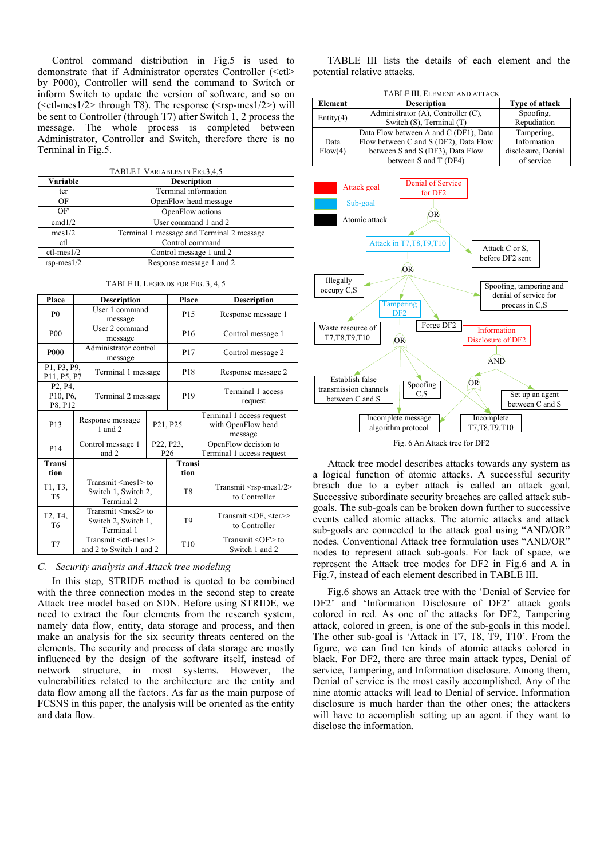Control command distribution in Fig.5 is used to demonstrate that if Administrator operates Controller  $\langle \langle ct| \rangle$ by P000), Controller will send the command to Switch or inform Switch to update the version of software, and so on  $(<$ ctl-mes $1/2$ > through T8). The response  $(<$ rsp-mes $1/2$ >) will be sent to Controller (through T7) after Switch 1, 2 process the message. The whole process is completed between Administrator, Controller and Switch, therefore there is no Terminal in Fig.5.

| TABLE I. VARIABLES IN FIG.3,4,5 |
|---------------------------------|
|                                 |

| Variable         | <b>Description</b>                        |  |  |  |  |
|------------------|-------------------------------------------|--|--|--|--|
| ter              | Terminal information                      |  |  |  |  |
| OF               | OpenFlow head message                     |  |  |  |  |
| OF               | OpenFlow actions                          |  |  |  |  |
| cmd1/2           | User command 1 and 2                      |  |  |  |  |
| mes 1/2          | Terminal 1 message and Terminal 2 message |  |  |  |  |
| ctl              | Control command                           |  |  |  |  |
| $ctl$ -mes $1/2$ | Control message 1 and 2                   |  |  |  |  |
| $rsp-mes1/2$     | Response message 1 and 2                  |  |  |  |  |

| Place                                                  | <b>Description</b>                                                |                                 | Place |                                   | <b>Description</b> |                                                            |  |
|--------------------------------------------------------|-------------------------------------------------------------------|---------------------------------|-------|-----------------------------------|--------------------|------------------------------------------------------------|--|
| P()                                                    | User 1 command<br>message                                         |                                 |       | P <sub>15</sub>                   |                    | Response message 1                                         |  |
| <b>P00</b>                                             | User 2 command<br>message                                         |                                 |       | P <sub>16</sub>                   | Control message 1  |                                                            |  |
| P <sub>000</sub>                                       | Administrator control<br>message                                  |                                 |       | P <sub>17</sub>                   |                    | Control message 2                                          |  |
| P1, P3, P9,<br>P11, P5, P7                             | Terminal 1 message                                                |                                 |       | P <sub>18</sub>                   |                    | Response message 2                                         |  |
| P <sub>2</sub> , P <sub>4</sub><br>P10, P6,<br>P8, P12 |                                                                   | Terminal 2 message              |       | P <sub>19</sub>                   |                    | Terminal 1 access<br>request                               |  |
| P <sub>13</sub>                                        |                                                                   | Response message<br>$1$ and $2$ |       | P <sub>21</sub> , P <sub>25</sub> |                    | Terminal 1 access request<br>with OpenFlow head<br>message |  |
| P <sub>14</sub>                                        |                                                                   | Control message 1<br>and 2      |       | P22, P23,<br>P <sub>26</sub>      |                    | OpenFlow decision to<br>Terminal 1 access request          |  |
| Transi<br>tion                                         |                                                                   |                                 |       | <b>Transi</b><br>tion             |                    |                                                            |  |
| T1, T3,<br><b>T5</b>                                   | Transmit $\leq$ mes $1$ > to<br>Switch 1, Switch 2,<br>Terminal 2 |                                 |       | T <sub>8</sub>                    |                    | Transmit $\leq$ rsp-mes $1/2$<br>to Controller             |  |
| T <sub>2</sub> , T <sub>4</sub> ,<br>T6                | Transmit $\leq$ mes $2$ >to<br>Switch 2, Switch 1,<br>Terminal 1  |                                 |       | T <sub>9</sub>                    |                    | Transmit <of, <ter="">&gt;<br/>to Controller</of,>         |  |
| T7                                                     | Transmit <ctl-mes1><br/>and 2 to Switch 1 and 2</ctl-mes1>        |                                 |       | T10                               |                    | Transmit <of'> to<br/>Switch 1 and 2</of'>                 |  |

TABLE II. LEGENDS FOR FIG. 3, 4, 5

## *C. Security analysis and Attack tree modeling*

In this step, STRIDE method is quoted to be combined with the three connection modes in the second step to create Attack tree model based on SDN. Before using STRIDE, we need to extract the four elements from the research system, namely data flow, entity, data storage and process, and then make an analysis for the six security threats centered on the elements. The security and process of data storage are mostly influenced by the design of the software itself, instead of network structure, in most systems. However, the vulnerabilities related to the architecture are the entity and data flow among all the factors. As far as the main purpose of FCSNS in this paper, the analysis will be oriented as the entity and data flow.

TABLE III lists the details of each element and the potential relative attacks.



Attack tree model describes attacks towards any system as a logical function of atomic attacks. A successful security breach due to a cyber attack is called an attack goal. Successive subordinate security breaches are called attack subgoals. The sub-goals can be broken down further to successive events called atomic attacks. The atomic attacks and attack sub-goals are connected to the attack goal using "AND/OR" nodes. Conventional Attack tree formulation uses "AND/OR" nodes to represent attack sub-goals. For lack of space, we represent the Attack tree modes for DF2 in Fig.6 and A in Fig.7, instead of each element described in TABLE III.

Fig.6 shows an Attack tree with the "Denial of Service for DF2' and 'Information Disclosure of DF2' attack goals colored in red. As one of the attacks for DF2, Tampering attack, colored in green, is one of the sub-goals in this model. The other sub-goal is "Attack in T7, T8, T9, T10". From the figure, we can find ten kinds of atomic attacks colored in black. For DF2, there are three main attack types, Denial of service, Tampering, and Information disclosure. Among them, Denial of service is the most easily accomplished. Any of the nine atomic attacks will lead to Denial of service. Information disclosure is much harder than the other ones; the attackers will have to accomplish setting up an agent if they want to disclose the information.